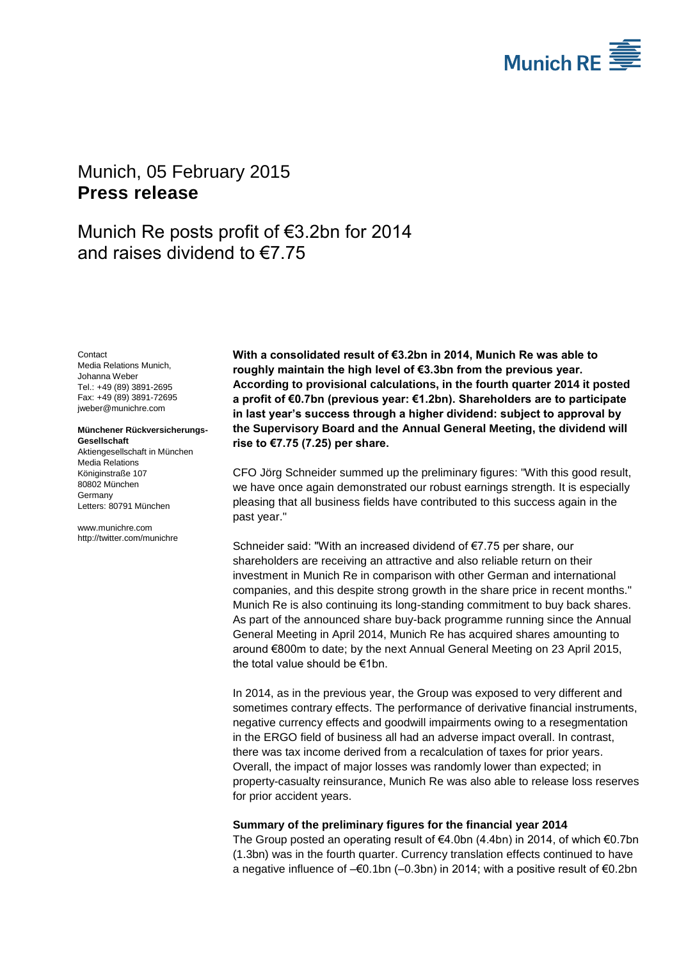

# <span id="page-0-2"></span>Munich, 05 February 2015 **Press release**

# Munich Re posts profit of €3.2bn for 2014 and raises dividend to €7.75

<span id="page-0-1"></span><span id="page-0-0"></span>**Contact** Media Relations Munich, Johanna Weber Tel.: +49 (89) 3891-2695 Fax: +49 (89) 3891-72695 jweber@munichre.com

#### **Münchener Rückversicherungs-Gesellschaft** Aktiengesellschaft in München

Media Relations Königinstraße 107 80802 München Germany Letters: 80791 München

www.munichre.com http://twitter.com/munichre **With a consolidated result of €3.2bn in 2014, Munich Re was able to roughly maintain the high level of €3.3bn from the previous year. According to provisional calculations, in the fourth quarter 2014 it posted a profit of €0.7bn (previous year: €1.2bn). Shareholders are to participate in last year's success through a higher dividend: subject to approval by the Supervisory Board and the Annual General Meeting, the dividend will rise to €7.75 (7.25) per share.**

CFO Jörg Schneider summed up the preliminary figures: "With this good result, we have once again demonstrated our robust earnings strength. It is especially pleasing that all business fields have contributed to this success again in the past year."

Schneider said: "With an increased dividend of €7.75 per share, our shareholders are receiving an attractive and also reliable return on their investment in Munich Re in comparison with other German and international companies, and this despite strong growth in the share price in recent months." Munich Re is also continuing its long-standing commitment to buy back shares. As part of the announced share buy-back programme running since the Annual General Meeting in April 2014, Munich Re has acquired shares amounting to around €800m to date; by the next Annual General Meeting on 23 April 2015, the total value should be €1bn.

In 2014, as in the previous year, the Group was exposed to very different and sometimes contrary effects. The performance of derivative financial instruments, negative currency effects and goodwill impairments owing to a resegmentation in the ERGO field of business all had an adverse impact overall. In contrast, there was tax income derived from a recalculation of taxes for prior years. Overall, the impact of major losses was randomly lower than expected; in property-casualty reinsurance, Munich Re was also able to release loss reserves for prior accident years.

### **Summary of the preliminary figures for the financial year 2014**

The Group posted an operating result of  $\epsilon$ 4.0bn (4.4bn) in 2014, of which  $\epsilon$ 0.7bn (1.3bn) was in the fourth quarter. Currency translation effects continued to have a negative influence of –€0.1bn (–0.3bn) in 2014; with a positive result of €0.2bn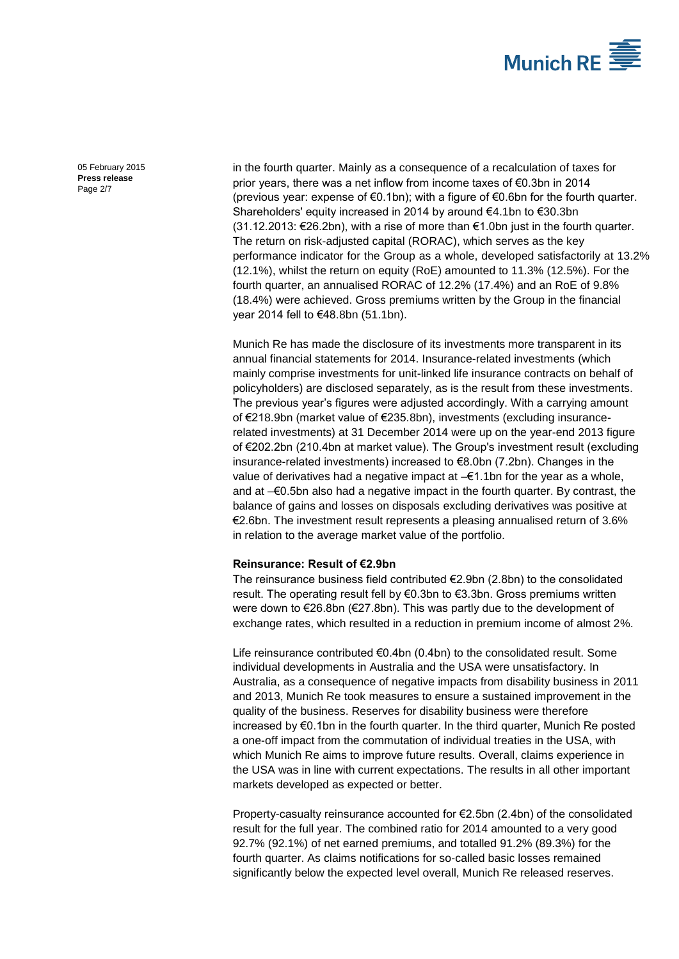

05 February 2015 **Press release** Page 2/7

in the fourth quarter. Mainly as a consequence of a recalculation of taxes for prior years, there was a net inflow from income taxes of €0.3bn in 2014 (previous year: expense of  $\epsilon$ 0.1bn); with a figure of  $\epsilon$ 0.6bn for the fourth quarter. Shareholders' equity increased in 2014 by around €4.1bn to €30.3bn  $(31.12.2013: €26.2bn)$ , with a rise of more than €1.0bn just in the fourth quarter. The return on risk-adjusted capital (RORAC), which serves as the key performance indicator for the Group as a whole, developed satisfactorily at 13.2% (12.1%), whilst the return on equity (RoE) amounted to 11.3% (12.5%). For the fourth quarter, an annualised RORAC of 12.2% (17.4%) and an RoE of 9.8% (18.4%) were achieved. Gross premiums written by the Group in the financial year 2014 fell to €48.8bn (51.1bn).

Munich Re has made the disclosure of its investments more transparent in its annual financial statements for 2014. Insurance-related investments (which mainly comprise investments for unit-linked life insurance contracts on behalf of policyholders) are disclosed separately, as is the result from these investments. The previous year's figures were adjusted accordingly. With a carrying amount of €218.9bn (market value of €235.8bn), investments (excluding insurancerelated investments) at 31 December 2014 were up on the year-end 2013 figure of €202.2bn (210.4bn at market value). The Group's investment result (excluding insurance-related investments) increased to €8.0bn (7.2bn). Changes in the value of derivatives had a negative impact at –€1.1bn for the year as a whole, and at –€0.5bn also had a negative impact in the fourth quarter. By contrast, the balance of gains and losses on disposals excluding derivatives was positive at €2.6bn. The investment result represents a pleasing annualised return of 3.6% in relation to the average market value of the portfolio.

### **Reinsurance: Result of €2.9bn**

The reinsurance business field contributed €2.9bn (2.8bn) to the consolidated result. The operating result fell by €0.3bn to €3.3bn. Gross premiums written were down to €26.8bn (€27.8bn). This was partly due to the development of exchange rates, which resulted in a reduction in premium income of almost 2%.

Life reinsurance contributed €0.4bn (0.4bn) to the consolidated result. Some individual developments in Australia and the USA were unsatisfactory. In Australia, as a consequence of negative impacts from disability business in 2011 and 2013, Munich Re took measures to ensure a sustained improvement in the quality of the business. Reserves for disability business were therefore increased by €0.1bn in the fourth quarter. In the third quarter, Munich Re posted a one-off impact from the commutation of individual treaties in the USA, with which Munich Re aims to improve future results. Overall, claims experience in the USA was in line with current expectations. The results in all other important markets developed as expected or better.

Property-casualty reinsurance accounted for €2.5bn (2.4bn) of the consolidated result for the full year. The combined ratio for 2014 amounted to a very good 92.7% (92.1%) of net earned premiums, and totalled 91.2% (89.3%) for the fourth quarter. As claims notifications for so-called basic losses remained significantly below the expected level overall, Munich Re released reserves.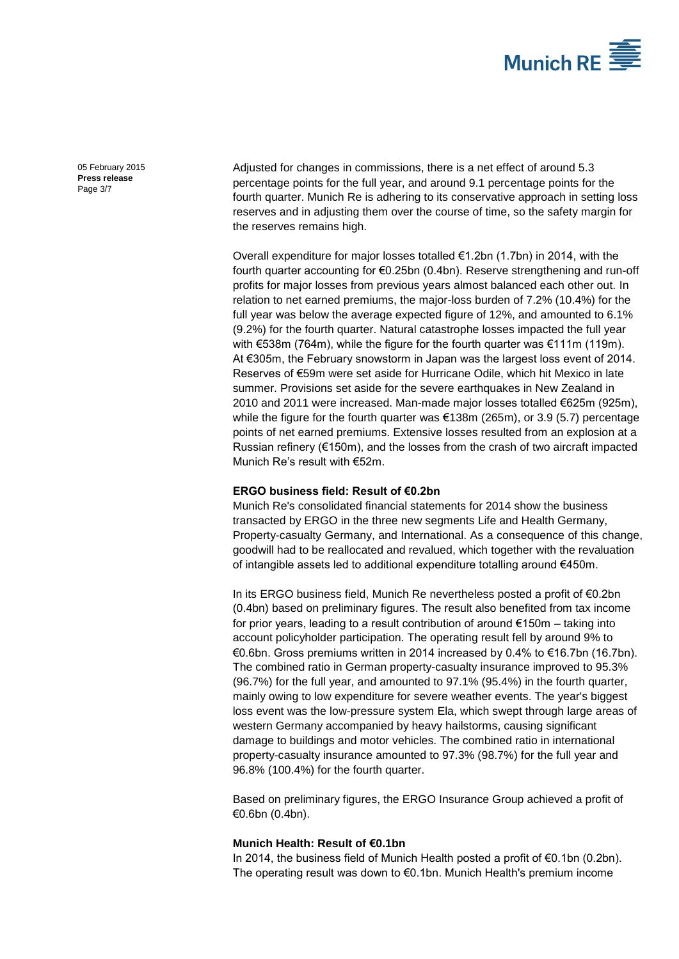

05 February 2015 **Press release** Page 3/7

Adjusted for changes in commissions, there is a net effect of around 5.3 percentage points for the full year, and around 9.1 percentage points for the fourth quarter. Munich Re is adhering to its conservative approach in setting loss reserves and in adjusting them over the course of time, so the safety margin for the reserves remains high.

Overall expenditure for major losses totalled €1.2bn (1.7bn) in 2014, with the fourth quarter accounting for €0.25bn (0.4bn). Reserve strengthening and run-off profits for major losses from previous years almost balanced each other out. In relation to net earned premiums, the major-loss burden of 7.2% (10.4%) for the full year was below the average expected figure of 12%, and amounted to 6.1% (9.2%) for the fourth quarter. Natural catastrophe losses impacted the full year with €538m (764m), while the figure for the fourth quarter was €111m (119m). At €305m, the February snowstorm in Japan was the largest loss event of 2014. Reserves of €59m were set aside for Hurricane Odile, which hit Mexico in late summer. Provisions set aside for the severe earthquakes in New Zealand in 2010 and 2011 were increased. Man-made major losses totalled €625m (925m), while the figure for the fourth quarter was  $\epsilon$ 138m (265m), or 3.9 (5.7) percentage points of net earned premiums. Extensive losses resulted from an explosion at a Russian refinery ( $€150m$ ), and the losses from the crash of two aircraft impacted Munich Re's result with €52m.

### **ERGO business field: Result of €0.2bn**

Munich Re's consolidated financial statements for 2014 show the business transacted by ERGO in the three new segments Life and Health Germany, Property-casualty Germany, and International. As a consequence of this change, goodwill had to be reallocated and revalued, which together with the revaluation of intangible assets led to additional expenditure totalling around €450m.

In its ERGO business field, Munich Re nevertheless posted a profit of €0.2bn (0.4bn) based on preliminary figures. The result also benefited from tax income for prior years, leading to a result contribution of around  $E150m -$  taking into account policyholder participation. The operating result fell by around 9% to €0.6bn. Gross premiums written in 2014 increased by 0.4% to €16.7bn (16.7bn). The combined ratio in German property-casualty insurance improved to 95.3% (96.7%) for the full year, and amounted to 97.1% (95.4%) in the fourth quarter, mainly owing to low expenditure for severe weather events. The year's biggest loss event was the low-pressure system Ela, which swept through large areas of western Germany accompanied by heavy hailstorms, causing significant damage to buildings and motor vehicles. The combined ratio in international property-casualty insurance amounted to 97.3% (98.7%) for the full year and 96.8% (100.4%) for the fourth quarter.

Based on preliminary figures, the ERGO Insurance Group achieved a profit of €0.6bn (0.4bn).

### **Munich Health: Result of €0.1bn**

In 2014, the business field of Munich Health posted a profit of €0.1bn (0.2bn). The operating result was down to €0.1bn. Munich Health's premium income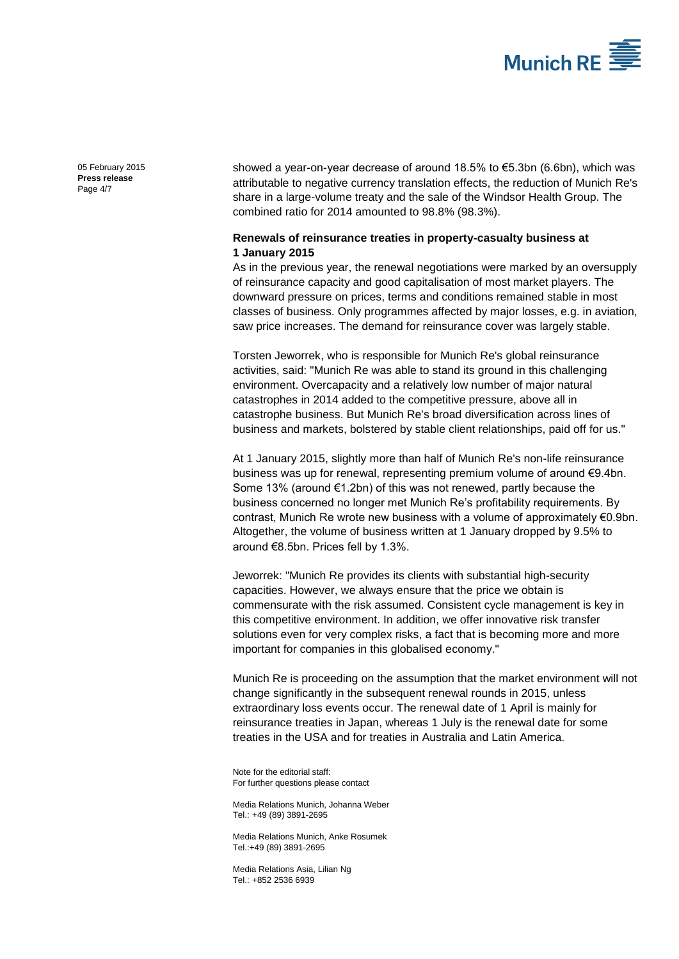

05 February 2015 **Press release** Page 4/7

showed a year-on-year decrease of around 18.5% to €5.3bn (6.6bn), which was attributable to negative currency translation effects, the reduction of Munich Re's share in a large-volume treaty and the sale of the Windsor Health Group. The combined ratio for 2014 amounted to 98.8% (98.3%).

## **Renewals of reinsurance treaties in property-casualty business at 1 January 2015**

As in the previous year, the renewal negotiations were marked by an oversupply of reinsurance capacity and good capitalisation of most market players. The downward pressure on prices, terms and conditions remained stable in most classes of business. Only programmes affected by major losses, e.g. in aviation, saw price increases. The demand for reinsurance cover was largely stable.

Torsten Jeworrek, who is responsible for Munich Re's global reinsurance activities, said: "Munich Re was able to stand its ground in this challenging environment. Overcapacity and a relatively low number of major natural catastrophes in 2014 added to the competitive pressure, above all in catastrophe business. But Munich Re's broad diversification across lines of business and markets, bolstered by stable client relationships, paid off for us."

At 1 January 2015, slightly more than half of Munich Re's non-life reinsurance business was up for renewal, representing premium volume of around €9.4bn. Some 13% (around €1.2bn) of this was not renewed, partly because the business concerned no longer met Munich Re's profitability requirements. By contrast, Munich Re wrote new business with a volume of approximately €0.9bn. Altogether, the volume of business written at 1 January dropped by 9.5% to around €8.5bn. Prices fell by 1.3%.

Jeworrek: "Munich Re provides its clients with substantial high-security capacities. However, we always ensure that the price we obtain is commensurate with the risk assumed. Consistent cycle management is key in this competitive environment. In addition, we offer innovative risk transfer solutions even for very complex risks, a fact that is becoming more and more important for companies in this globalised economy."

Munich Re is proceeding on the assumption that the market environment will not change significantly in the subsequent renewal rounds in 2015, unless extraordinary loss events occur. The renewal date of 1 April is mainly for reinsurance treaties in Japan, whereas 1 July is the renewal date for some treaties in the USA and for treaties in Australia and Latin America.

Note for the editorial staff: For further questions please contact

Media Relations Munich[, Johanna Weber](#page-0-0) Tel.: +49 (89) 389[1-2695](#page-0-1)

Media Relations Munich, Anke Rosumek Tel.:+49 (89) 3891[-2695](#page-0-1)

Media Relations Asia, Lilian Ng Tel.: +852 2536 6939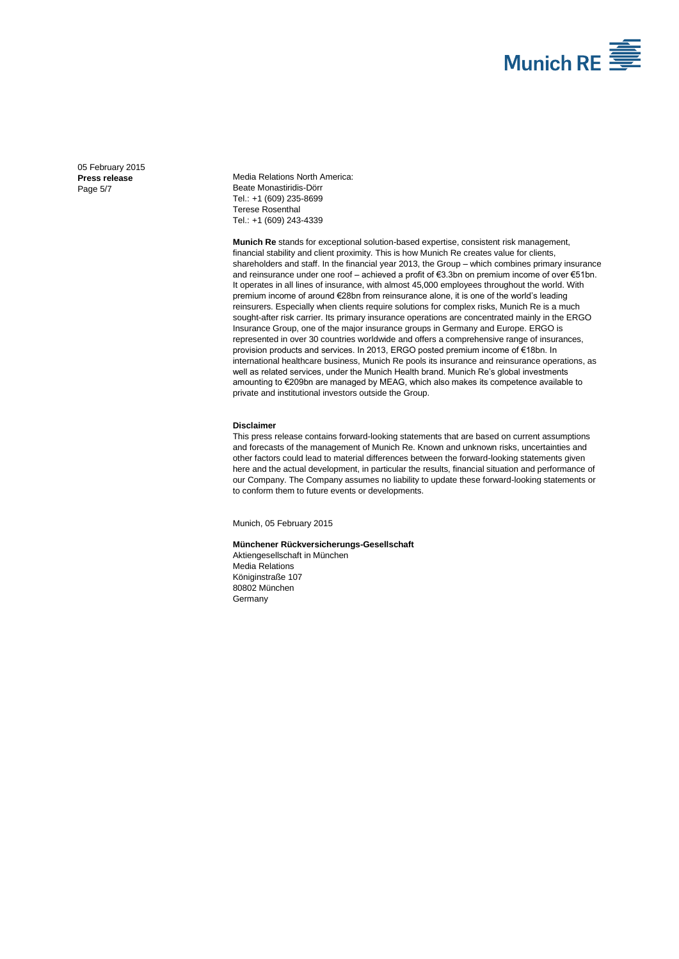

05 February 2015 **Press release** Page 5/7

Media Relations North America: Beate Monastiridis-Dörr Tel.: +1 (609) 235-8699 Terese Rosenthal Tel.: +1 (609) 243-4339

**Munich Re** stands for exceptional solution-based expertise, consistent risk management, financial stability and client proximity. This is how Munich Re creates value for clients, shareholders and staff. In the financial year 2013, the Group – which combines primary insurance and reinsurance under one roof – achieved a profit of €3.3bn on premium income of over €51bn. It operates in all lines of insurance, with almost 45,000 employees throughout the world. With premium income of around €28bn from reinsurance alone, it is one of the world's leading reinsurers. Especially when clients require solutions for complex risks, Munich Re is a much sought-after risk carrier. Its primary insurance operations are concentrated mainly in the ERGO Insurance Group, one of the major insurance groups in Germany and Europe. ERGO is represented in over 30 countries worldwide and offers a comprehensive range of insurances, provision products and services. In 2013, ERGO posted premium income of €18bn. In international healthcare business, Munich Re pools its insurance and reinsurance operations, as well as related services, under the Munich Health brand. Munich Re's global investments amounting to €209bn are managed by MEAG, which also makes its competence available to private and institutional investors outside the Group.

#### **Disclaimer**

This press release contains forward-looking statements that are based on current assumptions and forecasts of the management of Munich Re. Known and unknown risks, uncertainties and other factors could lead to material differences between the forward-looking statements given here and the actual development, in particular the results, financial situation and performance of our Company. The Company assumes no liability to update these forward-looking statements or to conform them to future events or developments.

Munich[, 05 February 2015](#page-0-2)

#### **Münchener Rückversicherungs-Gesellschaft**

Aktiengesellschaft in München Media Relations Königinstraße 107 80802 München Germany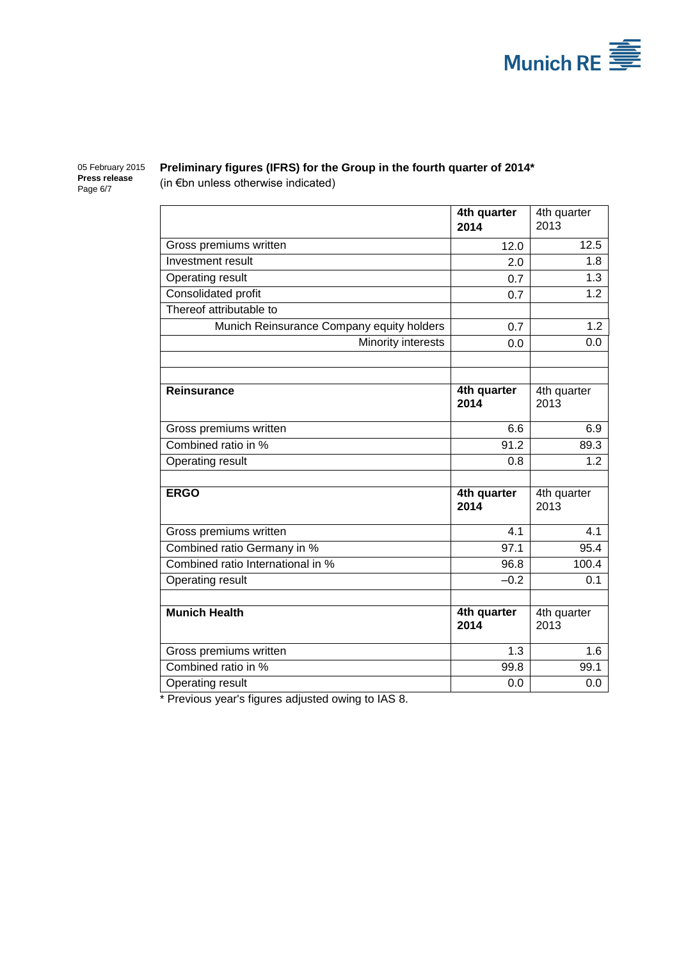

05 February 2015 **Press release** Page 6/7

## **Preliminary figures (IFRS) for the Group in the fourth quarter of 2014\*** (in €bn unless otherwise indicated)

|                                           | 4th quarter<br>2014 | 4th quarter<br>2013 |
|-------------------------------------------|---------------------|---------------------|
| Gross premiums written                    | 12.0                | 12.5                |
| Investment result                         | 2.0                 | 1.8                 |
| <b>Operating result</b>                   | 0.7                 | 1.3                 |
| Consolidated profit                       | 0.7                 | $\overline{1}$ .2   |
| Thereof attributable to                   |                     |                     |
| Munich Reinsurance Company equity holders | 0.7                 | 1.2                 |
| Minority interests                        | 0.0                 | 0.0                 |
|                                           |                     |                     |
|                                           |                     |                     |
| <b>Reinsurance</b>                        | 4th quarter<br>2014 | 4th quarter<br>2013 |
| Gross premiums written                    | 6.6                 | 6.9                 |
| Combined ratio in %                       | 91.2                | 89.3                |
| Operating result                          | 0.8                 | 1.2                 |
|                                           |                     |                     |
| <b>ERGO</b>                               | 4th quarter<br>2014 | 4th quarter<br>2013 |
| Gross premiums written                    | 4.1                 | 4.1                 |
| Combined ratio Germany in %               | 97.1                | 95.4                |
| Combined ratio International in %         | 96.8                | 100.4               |
| Operating result                          | $-0.2$              | 0.1                 |
|                                           |                     |                     |
| <b>Munich Health</b>                      | 4th quarter<br>2014 | 4th quarter<br>2013 |
| Gross premiums written                    | 1.3                 | 1.6                 |
| Combined ratio in %                       | 99.8                | 99.1                |
| Operating result                          | 0.0                 | 0.0                 |

\* Previous year's figures adjusted owing to IAS 8.